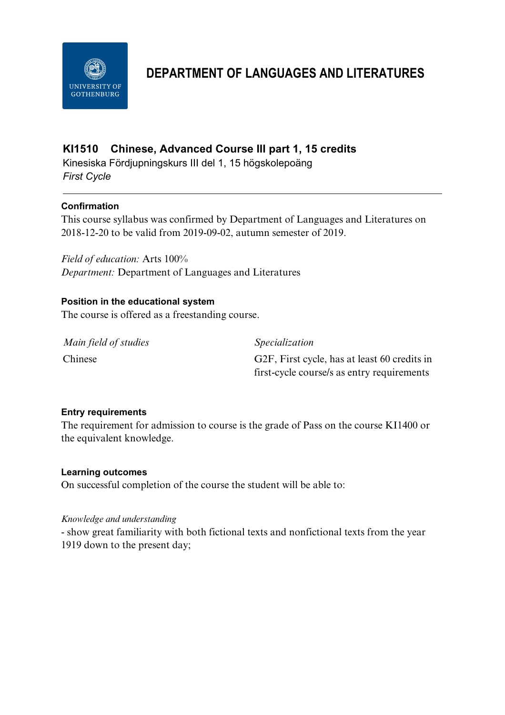

# **DEPARTMENT OF LANGUAGES AND LITERATURES**

## **KI1510 Chinese, Advanced Course III part 1, 15 credits**

Kinesiska Fördjupningskurs III del 1, 15 högskolepoäng *First Cycle*

## **Confirmation**

This course syllabus was confirmed by Department of Languages and Literatures on 2018-12-20 to be valid from 2019-09-02, autumn semester of 2019.

*Field of education:* Arts 100% *Department:* Department of Languages and Literatures

### **Position in the educational system**

The course is offered as a freestanding course.

*Main field of studies Specialization*

Chinese G2F, First cycle, has at least 60 credits in first-cycle course/s as entry requirements

### **Entry requirements**

The requirement for admission to course is the grade of Pass on the course KI1400 or the equivalent knowledge.

### **Learning outcomes**

On successful completion of the course the student will be able to:

#### *Knowledge and understanding*

- show great familiarity with both fictional texts and nonfictional texts from the year 1919 down to the present day;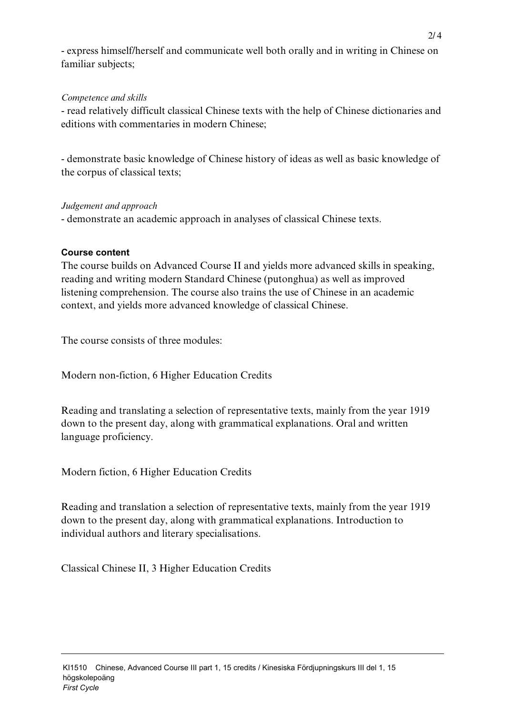- express himself/herself and communicate well both orally and in writing in Chinese on familiar subjects;

## *Competence and skills*

- read relatively difficult classical Chinese texts with the help of Chinese dictionaries and editions with commentaries in modern Chinese;

- demonstrate basic knowledge of Chinese history of ideas as well as basic knowledge of the corpus of classical texts;

### *Judgement and approach*

- demonstrate an academic approach in analyses of classical Chinese texts.

## **Course content**

The course builds on Advanced Course II and yields more advanced skills in speaking, reading and writing modern Standard Chinese (putonghua) as well as improved listening comprehension. The course also trains the use of Chinese in an academic context, and yields more advanced knowledge of classical Chinese.

The course consists of three modules:

Modern non-fiction, 6 Higher Education Credits

Reading and translating a selection of representative texts, mainly from the year 1919 down to the present day, along with grammatical explanations. Oral and written language proficiency.

Modern fiction, 6 Higher Education Credits

Reading and translation a selection of representative texts, mainly from the year 1919 down to the present day, along with grammatical explanations. Introduction to individual authors and literary specialisations.

Classical Chinese II, 3 Higher Education Credits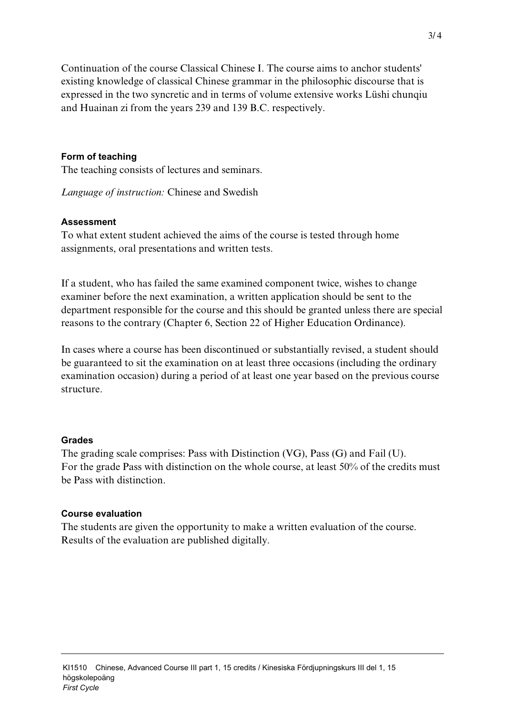Continuation of the course Classical Chinese I. The course aims to anchor students' existing knowledge of classical Chinese grammar in the philosophic discourse that is expressed in the two syncretic and in terms of volume extensive works Lüshi chunqiu and Huainan zi from the years 239 and 139 B.C. respectively.

#### **Form of teaching**

The teaching consists of lectures and seminars.

*Language of instruction:* Chinese and Swedish

#### **Assessment**

To what extent student achieved the aims of the course is tested through home assignments, oral presentations and written tests.

If a student, who has failed the same examined component twice, wishes to change examiner before the next examination, a written application should be sent to the department responsible for the course and this should be granted unless there are special reasons to the contrary (Chapter 6, Section 22 of Higher Education Ordinance).

In cases where a course has been discontinued or substantially revised, a student should be guaranteed to sit the examination on at least three occasions (including the ordinary examination occasion) during a period of at least one year based on the previous course structure.

#### **Grades**

The grading scale comprises: Pass with Distinction (VG), Pass (G) and Fail (U). For the grade Pass with distinction on the whole course, at least 50% of the credits must be Pass with distinction.

#### **Course evaluation**

The students are given the opportunity to make a written evaluation of the course. Results of the evaluation are published digitally.